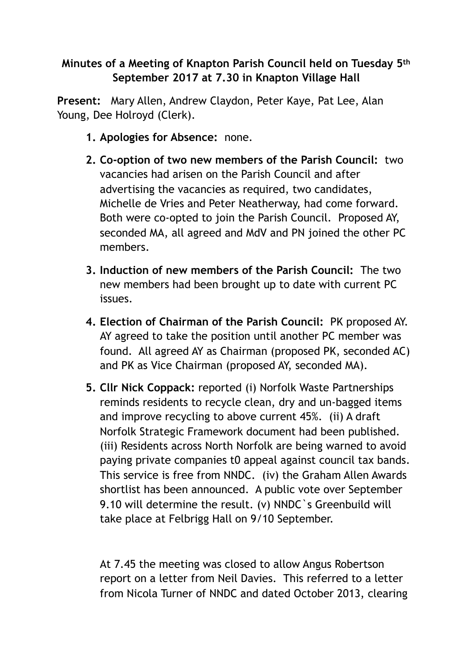## **Minutes of a Meeting of Knapton Parish Council held on Tuesday 5th September 2017 at 7.30 in Knapton Village Hall**

**Present:** Mary Allen, Andrew Claydon, Peter Kaye, Pat Lee, Alan Young, Dee Holroyd (Clerk).

- **1. Apologies for Absence:** none.
- **2. Co-option of two new members of the Parish Council:** two vacancies had arisen on the Parish Council and after advertising the vacancies as required, two candidates, Michelle de Vries and Peter Neatherway, had come forward. Both were co-opted to join the Parish Council. Proposed AY, seconded MA, all agreed and MdV and PN joined the other PC members.
- **3. Induction of new members of the Parish Council:** The two new members had been brought up to date with current PC issues.
- **4. Election of Chairman of the Parish Council:** PK proposed AY. AY agreed to take the position until another PC member was found. All agreed AY as Chairman (proposed PK, seconded AC) and PK as Vice Chairman (proposed AY, seconded MA).
- **5. Cllr Nick Coppack:** reported (i) Norfolk Waste Partnerships reminds residents to recycle clean, dry and un-bagged items and improve recycling to above current 45%. (ii) A draft Norfolk Strategic Framework document had been published. (iii) Residents across North Norfolk are being warned to avoid paying private companies t0 appeal against council tax bands. This service is free from NNDC. (iv) the Graham Allen Awards shortlist has been announced. A public vote over September 9.10 will determine the result. (v) NNDC`s Greenbuild will take place at Felbrigg Hall on 9/10 September.

At 7.45 the meeting was closed to allow Angus Robertson report on a letter from Neil Davies. This referred to a letter from Nicola Turner of NNDC and dated October 2013, clearing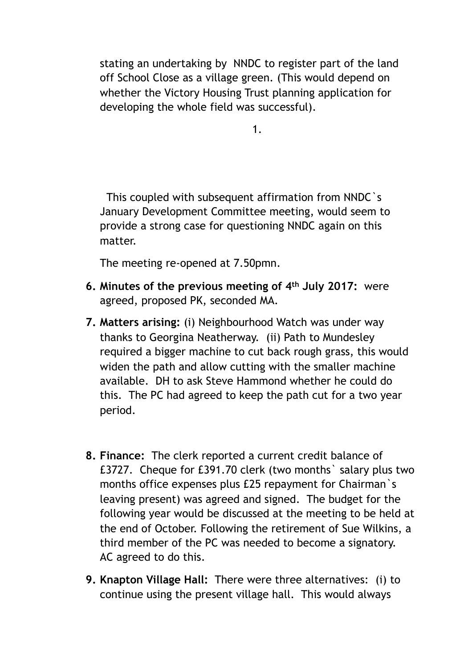stating an undertaking by NNDC to register part of the land off School Close as a village green. (This would depend on whether the Victory Housing Trust planning application for developing the whole field was successful).

1.

 This coupled with subsequent affirmation from NNDC`s January Development Committee meeting, would seem to provide a strong case for questioning NNDC again on this matter.

The meeting re-opened at 7.50pmn.

- **6. Minutes of the previous meeting of 4th July 2017:** were agreed, proposed PK, seconded MA.
- **7. Matters arising:** (i) Neighbourhood Watch was under way thanks to Georgina Neatherway. (ii) Path to Mundesley required a bigger machine to cut back rough grass, this would widen the path and allow cutting with the smaller machine available. DH to ask Steve Hammond whether he could do this. The PC had agreed to keep the path cut for a two year period.
- **8. Finance:** The clerk reported a current credit balance of £3727. Cheque for £391.70 clerk (two months` salary plus two months office expenses plus £25 repayment for Chairman`s leaving present) was agreed and signed. The budget for the following year would be discussed at the meeting to be held at the end of October. Following the retirement of Sue Wilkins, a third member of the PC was needed to become a signatory. AC agreed to do this.
- **9. Knapton Village Hall:** There were three alternatives: (i) to continue using the present village hall. This would always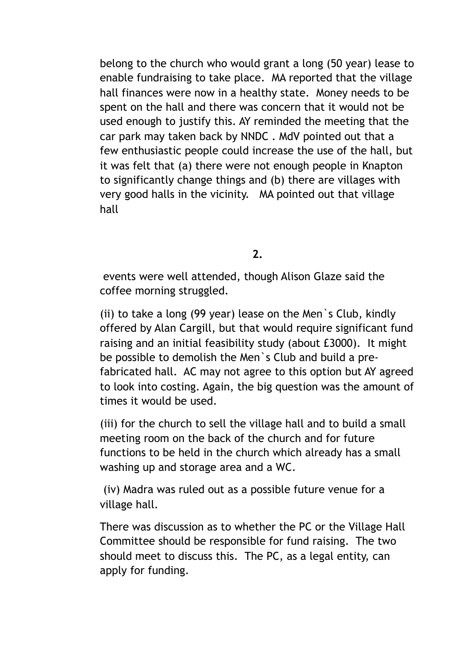belong to the church who would grant a long (50 year) lease to enable fundraising to take place. MA reported that the village hall finances were now in a healthy state. Money needs to be spent on the hall and there was concern that it would not be used enough to justify this. AY reminded the meeting that the car park may taken back by NNDC . MdV pointed out that a few enthusiastic people could increase the use of the hall, but it was felt that (a) there were not enough people in Knapton to significantly change things and (b) there are villages with very good halls in the vicinity. MA pointed out that village hall

**2.** 

 events were well attended, though Alison Glaze said the coffee morning struggled.

(ii) to take a long (99 year) lease on the Men`s Club, kindly offered by Alan Cargill, but that would require significant fund raising and an initial feasibility study (about £3000). It might be possible to demolish the Men`s Club and build a prefabricated hall. AC may not agree to this option but AY agreed to look into costing. Again, the big question was the amount of times it would be used.

(iii) for the church to sell the village hall and to build a small meeting room on the back of the church and for future functions to be held in the church which already has a small washing up and storage area and a WC.

 (iv) Madra was ruled out as a possible future venue for a village hall.

There was discussion as to whether the PC or the Village Hall Committee should be responsible for fund raising. The two should meet to discuss this. The PC, as a legal entity, can apply for funding.